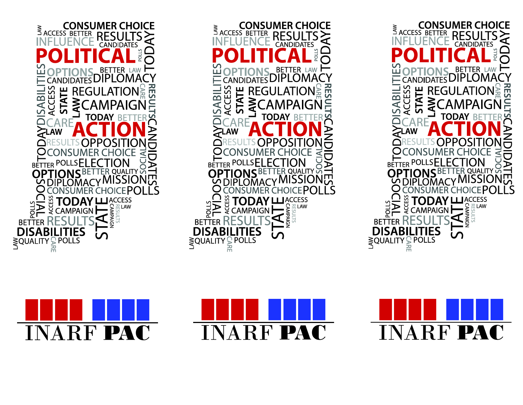